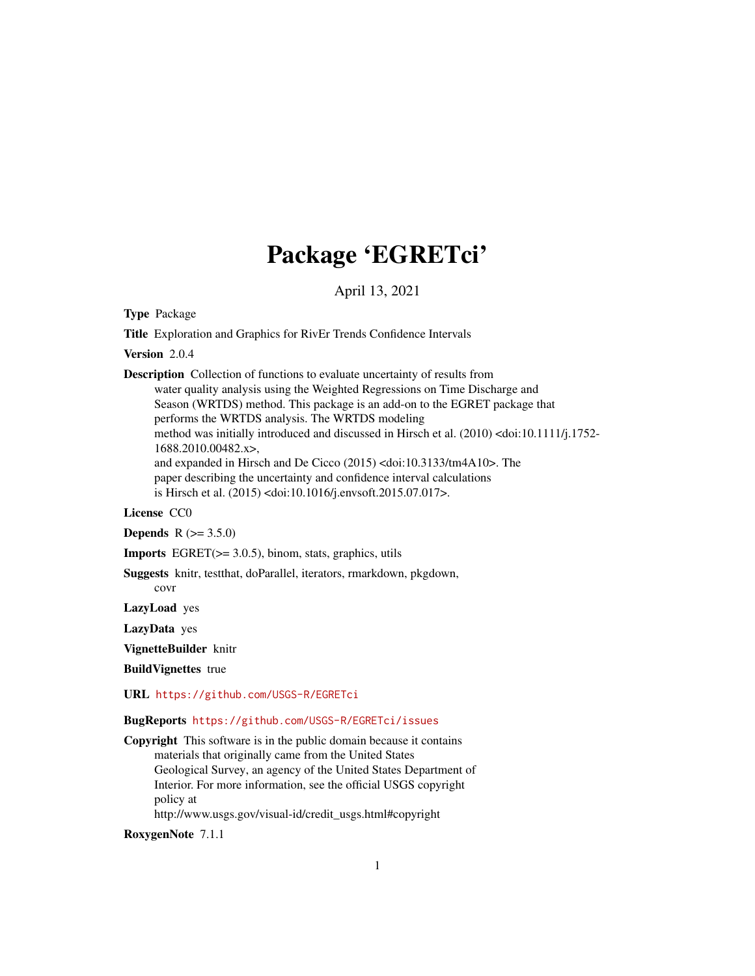## Package 'EGRETci'

April 13, 2021

<span id="page-0-0"></span>Type Package

Title Exploration and Graphics for RivEr Trends Confidence Intervals

Version 2.0.4

Description Collection of functions to evaluate uncertainty of results from water quality analysis using the Weighted Regressions on Time Discharge and Season (WRTDS) method. This package is an add-on to the EGRET package that performs the WRTDS analysis. The WRTDS modeling method was initially introduced and discussed in Hirsch et al. (2010) <doi:10.1111/j.1752- 1688.2010.00482.x>, and expanded in Hirsch and De Cicco (2015) <doi:10.3133/tm4A10>. The paper describing the uncertainty and confidence interval calculations is Hirsch et al. (2015) <doi:10.1016/j.envsoft.2015.07.017>.

#### License CC0

**Depends** R  $(>= 3.5.0)$ 

Imports EGRET(>= 3.0.5), binom, stats, graphics, utils

Suggests knitr, testthat, doParallel, iterators, rmarkdown, pkgdown, covr

LazyLoad yes

LazyData yes

VignetteBuilder knitr

BuildVignettes true

URL <https://github.com/USGS-R/EGRETci>

#### BugReports <https://github.com/USGS-R/EGRETci/issues>

Copyright This software is in the public domain because it contains materials that originally came from the United States Geological Survey, an agency of the United States Department of Interior. For more information, see the official USGS copyright policy at http://www.usgs.gov/visual-id/credit\_usgs.html#copyright

RoxygenNote 7.1.1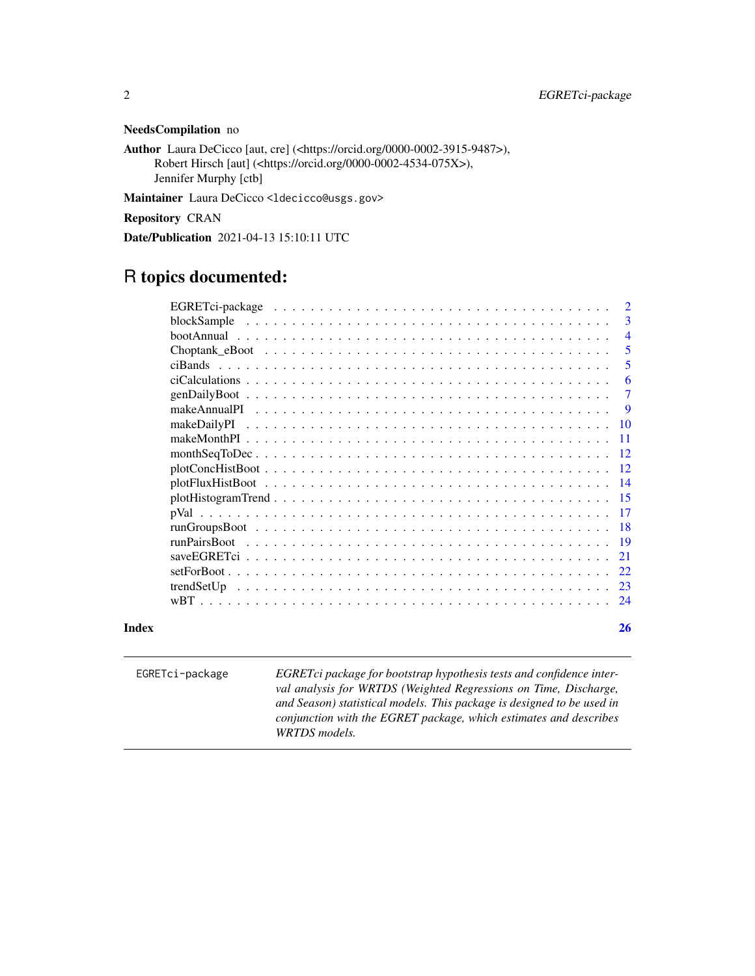#### NeedsCompilation no

Author Laura DeCicco [aut, cre] (<https://orcid.org/0000-0002-3915-9487>), Robert Hirsch [aut] (<https://orcid.org/0000-0002-4534-075X>), Jennifer Murphy [ctb]

Maintainer Laura DeCicco <ldecicco@usgs.gov>

Repository CRAN

Date/Publication 2021-04-13 15:10:11 UTC

### R topics documented:

| Index |                                                                                                                  | 26             |
|-------|------------------------------------------------------------------------------------------------------------------|----------------|
|       |                                                                                                                  |                |
|       |                                                                                                                  |                |
|       |                                                                                                                  |                |
|       |                                                                                                                  |                |
|       |                                                                                                                  |                |
|       |                                                                                                                  |                |
|       |                                                                                                                  |                |
|       |                                                                                                                  |                |
|       |                                                                                                                  |                |
|       | $plotConclistBook \ldots \ldots \ldots \ldots \ldots \ldots \ldots \ldots \ldots \ldots \ldots \ldots \ldots 12$ |                |
|       |                                                                                                                  |                |
|       |                                                                                                                  |                |
|       |                                                                                                                  |                |
|       |                                                                                                                  | - 9            |
|       |                                                                                                                  | $\overline{7}$ |
|       |                                                                                                                  | 6              |
|       |                                                                                                                  | -5             |
|       |                                                                                                                  | $\overline{5}$ |
|       |                                                                                                                  | $\overline{4}$ |
|       |                                                                                                                  | 3              |
|       |                                                                                                                  |                |

EGRETci-package *EGRETci package for bootstrap hypothesis tests and confidence interval analysis for WRTDS (Weighted Regressions on Time, Discharge, and Season) statistical models. This package is designed to be used in conjunction with the EGRET package, which estimates and describes WRTDS models.*

<span id="page-1-0"></span>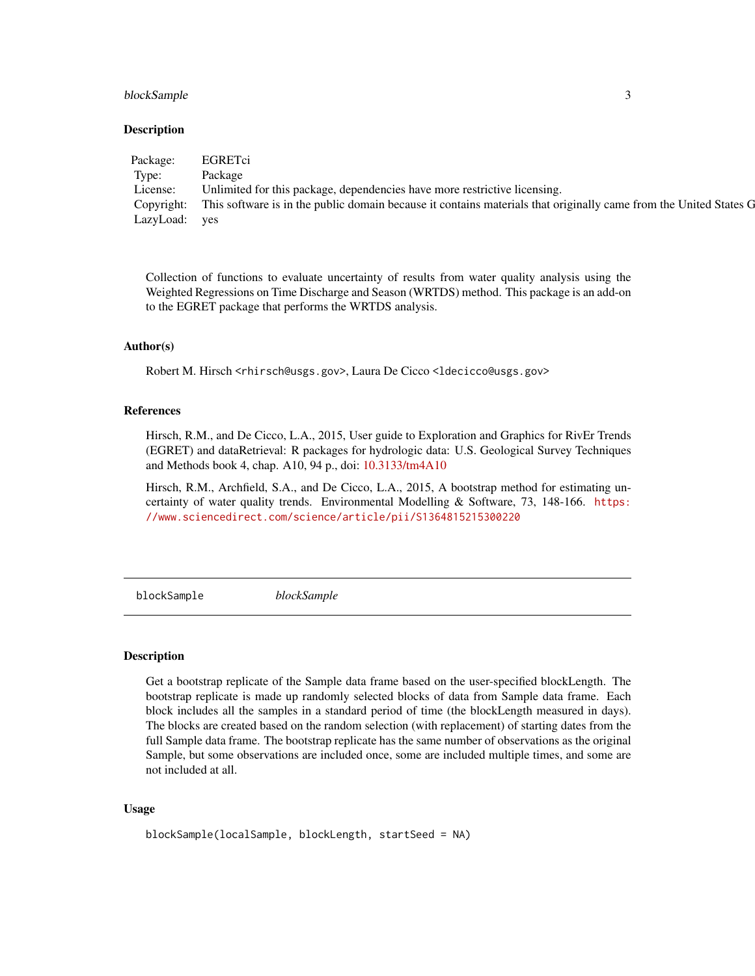#### <span id="page-2-0"></span>blockSample 3

#### Description

| Package:      | EGRETC1                                                                                                                      |
|---------------|------------------------------------------------------------------------------------------------------------------------------|
| Type:         | Package                                                                                                                      |
| License:      | Unlimited for this package, dependencies have more restrictive licensing.                                                    |
|               | Copyright: This software is in the public domain because it contains materials that originally came from the United States G |
| LazyLoad: yes |                                                                                                                              |

Collection of functions to evaluate uncertainty of results from water quality analysis using the Weighted Regressions on Time Discharge and Season (WRTDS) method. This package is an add-on to the EGRET package that performs the WRTDS analysis.

#### Author(s)

Robert M. Hirsch <rhirsch@usgs.gov>, Laura De Cicco <ldecicco@usgs.gov>

#### References

Hirsch, R.M., and De Cicco, L.A., 2015, User guide to Exploration and Graphics for RivEr Trends (EGRET) and dataRetrieval: R packages for hydrologic data: U.S. Geological Survey Techniques and Methods book 4, chap. A10, 94 p., doi: [10.3133/tm4A10](https://doi.org/10.3133/tm4A10)

Hirsch, R.M., Archfield, S.A., and De Cicco, L.A., 2015, A bootstrap method for estimating uncertainty of water quality trends. Environmental Modelling & Software, 73, 148-166. [https:](https://www.sciencedirect.com/science/article/pii/S1364815215300220) [//www.sciencedirect.com/science/article/pii/S1364815215300220](https://www.sciencedirect.com/science/article/pii/S1364815215300220)

blockSample *blockSample*

#### Description

Get a bootstrap replicate of the Sample data frame based on the user-specified blockLength. The bootstrap replicate is made up randomly selected blocks of data from Sample data frame. Each block includes all the samples in a standard period of time (the blockLength measured in days). The blocks are created based on the random selection (with replacement) of starting dates from the full Sample data frame. The bootstrap replicate has the same number of observations as the original Sample, but some observations are included once, some are included multiple times, and some are not included at all.

#### Usage

```
blockSample(localSample, blockLength, startSeed = NA)
```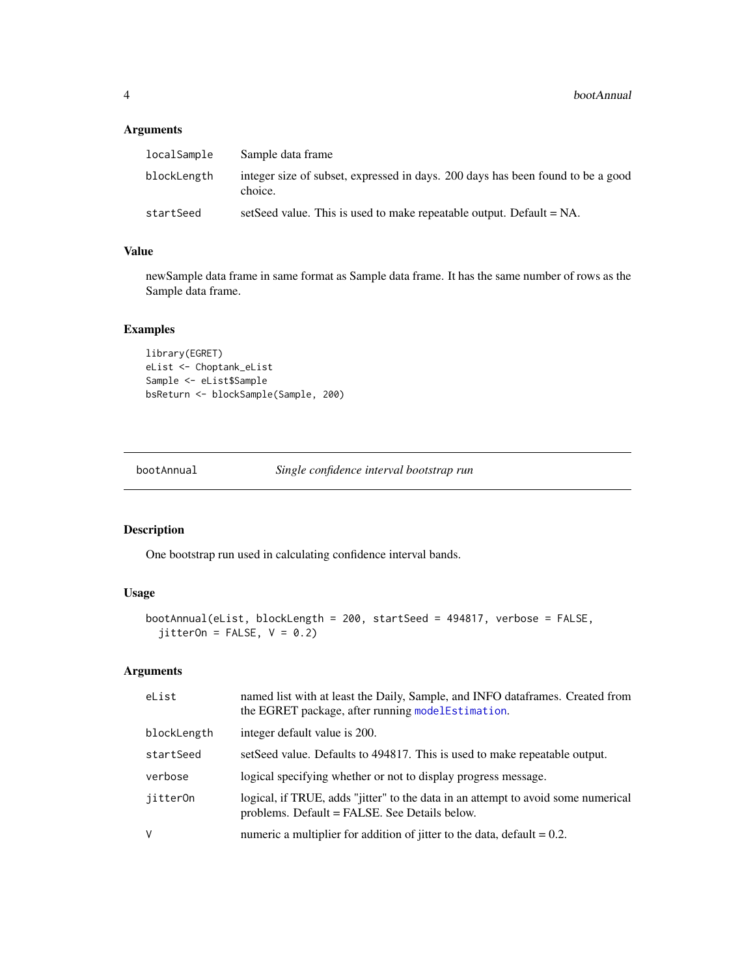#### <span id="page-3-0"></span>Arguments

| localSample | Sample data frame                                                                          |
|-------------|--------------------------------------------------------------------------------------------|
| blockLength | integer size of subset, expressed in days. 200 days has been found to be a good<br>choice. |
| startSeed   | setSeed value. This is used to make repeatable output. Default $= NA$ .                    |

#### Value

newSample data frame in same format as Sample data frame. It has the same number of rows as the Sample data frame.

#### Examples

```
library(EGRET)
eList <- Choptank_eList
Sample <- eList$Sample
bsReturn <- blockSample(Sample, 200)
```
bootAnnual *Single confidence interval bootstrap run*

#### Description

One bootstrap run used in calculating confidence interval bands.

#### Usage

```
bootAnnual(eList, blockLength = 200, startSeed = 494817, verbose = FALSE,
  jitterOn = FALSE, V = 0.2)
```

| eList       | named list with at least the Daily, Sample, and INFO dataframes. Created from<br>the EGRET package, after running modelEstimation. |
|-------------|------------------------------------------------------------------------------------------------------------------------------------|
| blockLength | integer default value is 200.                                                                                                      |
| startSeed   | set Seed value. Defaults to 494817. This is used to make repeatable output.                                                        |
| verbose     | logical specifying whether or not to display progress message.                                                                     |
| jitter0n    | logical, if TRUE, adds "jitter" to the data in an attempt to avoid some numerical<br>problems. Default = FALSE. See Details below. |
| V           | numeric a multiplier for addition of jitter to the data, $\delta$ default = 0.2.                                                   |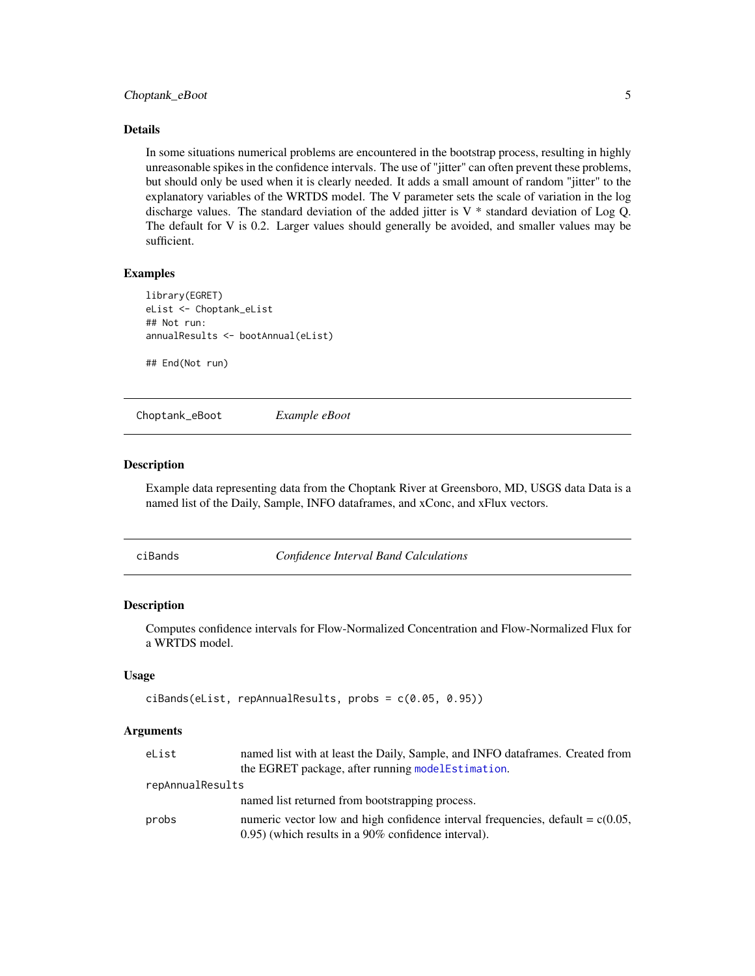#### <span id="page-4-0"></span>Choptank\_eBoot 5

#### Details

In some situations numerical problems are encountered in the bootstrap process, resulting in highly unreasonable spikes in the confidence intervals. The use of "jitter" can often prevent these problems, but should only be used when it is clearly needed. It adds a small amount of random "jitter" to the explanatory variables of the WRTDS model. The V parameter sets the scale of variation in the log discharge values. The standard deviation of the added jitter is  $V *$  standard deviation of Log Q. The default for V is 0.2. Larger values should generally be avoided, and smaller values may be sufficient.

#### Examples

```
library(EGRET)
eList <- Choptank_eList
## Not run:
annualResults <- bootAnnual(eList)
```
## End(Not run)

Choptank\_eBoot *Example eBoot*

#### Description

Example data representing data from the Choptank River at Greensboro, MD, USGS data Data is a named list of the Daily, Sample, INFO dataframes, and xConc, and xFlux vectors.

ciBands *Confidence Interval Band Calculations*

#### **Description**

Computes confidence intervals for Flow-Normalized Concentration and Flow-Normalized Flux for a WRTDS model.

#### Usage

```
ciBands(eList, repAnnualResults, probs = c(0.05, 0.95))
```

| eList            | named list with at least the Daily, Sample, and INFO data frames. Created from    |
|------------------|-----------------------------------------------------------------------------------|
|                  | the EGRET package, after running model Estimation.                                |
| repAnnualResults |                                                                                   |
|                  | named list returned from bootstrapping process.                                   |
| probs            | numeric vector low and high confidence interval frequencies, default = $c(0.05$ , |
|                  | $(0.95)$ (which results in a 90% confidence interval).                            |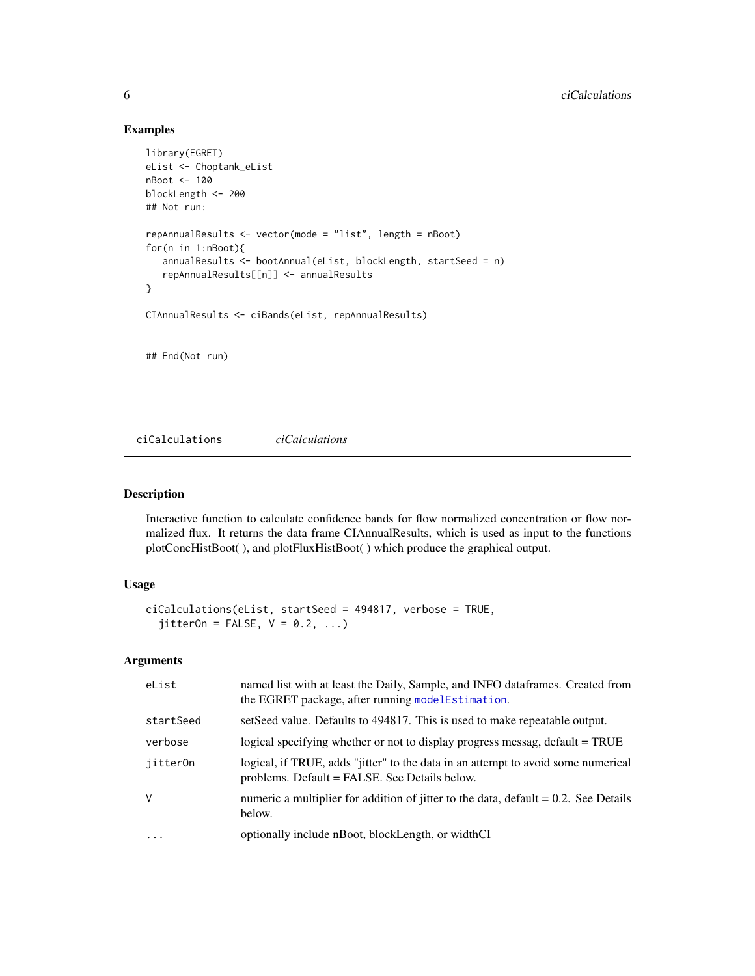#### Examples

```
library(EGRET)
eList <- Choptank_eList
nBoot <- 100
blockLength <- 200
## Not run:
repAnnualResults <- vector(mode = "list", length = nBoot)
for(n in 1:nBoot){
   annualResults <- bootAnnual(eList, blockLength, startSeed = n)
   repAnnualResults[[n]] <- annualResults
}
CIAnnualResults <- ciBands(eList, repAnnualResults)
## End(Not run)
```
ciCalculations *ciCalculations*

#### Description

Interactive function to calculate confidence bands for flow normalized concentration or flow normalized flux. It returns the data frame CIAnnualResults, which is used as input to the functions plotConcHistBoot( ), and plotFluxHistBoot( ) which produce the graphical output.

#### Usage

```
ciCalculations(eList, startSeed = 494817, verbose = TRUE,
  jitterOn = FALSE, V = 0.2, ...)
```

| eList     | named list with at least the Daily, Sample, and INFO dataframes. Created from<br>the EGRET package, after running modelEstimation. |
|-----------|------------------------------------------------------------------------------------------------------------------------------------|
| startSeed | setSeed value. Defaults to 494817. This is used to make repeatable output.                                                         |
| verbose   | logical specifying whether or not to display progress messag, default = TRUE                                                       |
| jitter0n  | logical, if TRUE, adds "jitter" to the data in an attempt to avoid some numerical<br>problems. Default = FALSE. See Details below. |
| V         | numeric a multiplier for addition of jitter to the data, $\delta$ default = 0.2. See Details<br>below.                             |
| $\ddots$  | optionally include nBoot, blockLength, or widthCI                                                                                  |

<span id="page-5-0"></span>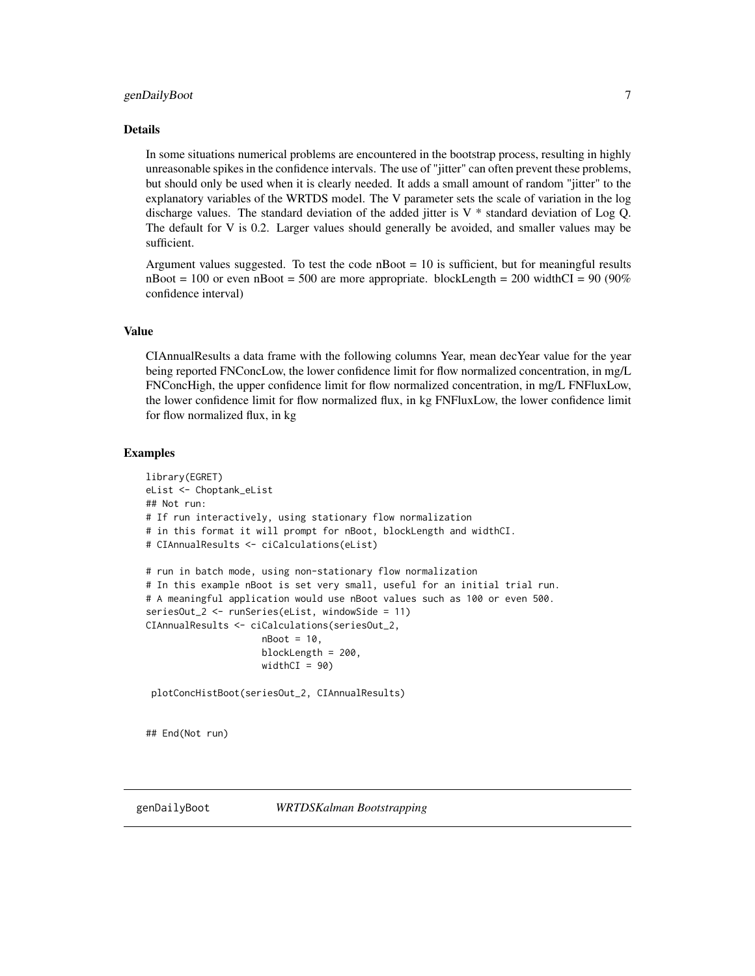#### <span id="page-6-0"></span>Details

In some situations numerical problems are encountered in the bootstrap process, resulting in highly unreasonable spikes in the confidence intervals. The use of "jitter" can often prevent these problems, but should only be used when it is clearly needed. It adds a small amount of random "jitter" to the explanatory variables of the WRTDS model. The V parameter sets the scale of variation in the log discharge values. The standard deviation of the added jitter is  $V^*$  standard deviation of Log Q. The default for V is 0.2. Larger values should generally be avoided, and smaller values may be sufficient.

Argument values suggested. To test the code  $n$ Boot = 10 is sufficient, but for meaningful results  $n_{\text{foot}} = 100$  or even  $n_{\text{foot}} = 500$  are more appropriate. blockLength = 200 widthCI = 90 (90%) confidence interval)

#### Value

CIAnnualResults a data frame with the following columns Year, mean decYear value for the year being reported FNConcLow, the lower confidence limit for flow normalized concentration, in mg/L FNConcHigh, the upper confidence limit for flow normalized concentration, in mg/L FNFluxLow, the lower confidence limit for flow normalized flux, in kg FNFluxLow, the lower confidence limit for flow normalized flux, in kg

#### Examples

```
library(EGRET)
eList <- Choptank_eList
## Not run:
# If run interactively, using stationary flow normalization
# in this format it will prompt for nBoot, blockLength and widthCI.
# CIAnnualResults <- ciCalculations(eList)
# run in batch mode, using non-stationary flow normalization
# In this example nBoot is set very small, useful for an initial trial run.
# A meaningful application would use nBoot values such as 100 or even 500.
seriesOut_2 <- runSeries(eList, windowSide = 11)
CIAnnualResults <- ciCalculations(seriesOut_2,
                     nBoot = 10,
                     blockLength = 200,
                     widthCI = 90)plotConcHistBoot(seriesOut_2, CIAnnualResults)
```
## End(Not run)

<span id="page-6-1"></span>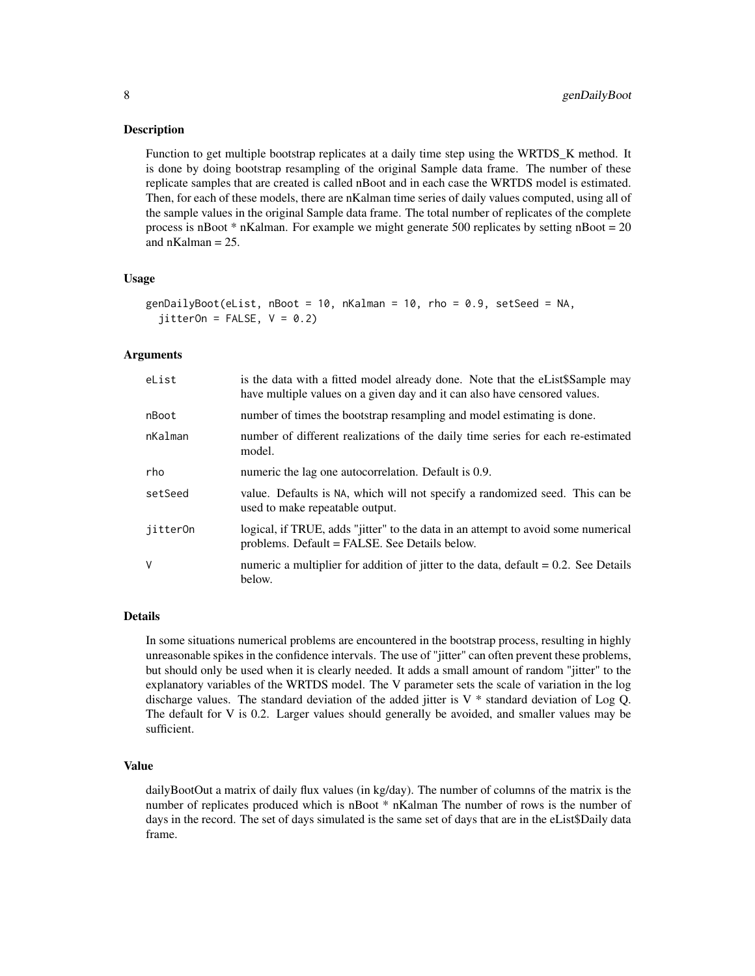#### Description

Function to get multiple bootstrap replicates at a daily time step using the WRTDS\_K method. It is done by doing bootstrap resampling of the original Sample data frame. The number of these replicate samples that are created is called nBoot and in each case the WRTDS model is estimated. Then, for each of these models, there are nKalman time series of daily values computed, using all of the sample values in the original Sample data frame. The total number of replicates of the complete process is nBoot  $*$  nKalman. For example we might generate 500 replicates by setting nBoot = 20 and  $n$ Kalman = 25.

#### Usage

```
genDailyBoot(eList, nBoot = 10, nKalman = 10, rho = 0.9, setSeed = NA,
  jitterOn = FALSE, V = 0.2)
```
#### Arguments

| eList    | is the data with a fitted model already done. Note that the eList\$Sample may<br>have multiple values on a given day and it can also have censored values. |
|----------|------------------------------------------------------------------------------------------------------------------------------------------------------------|
| nBoot    | number of times the bootstrap resampling and model estimating is done.                                                                                     |
| nKalman  | number of different realizations of the daily time series for each re-estimated<br>model.                                                                  |
| rho      | numeric the lag one autocorrelation. Default is 0.9.                                                                                                       |
| setSeed  | value. Defaults is NA, which will not specify a randomized seed. This can be<br>used to make repeatable output.                                            |
| jitter0n | logical, if TRUE, adds "jitter" to the data in an attempt to avoid some numerical<br>problems. Default = FALSE. See Details below.                         |
| V        | numeric a multiplier for addition of jitter to the data, $\delta$ default = 0.2. See Details<br>below.                                                     |

#### Details

In some situations numerical problems are encountered in the bootstrap process, resulting in highly unreasonable spikes in the confidence intervals. The use of "jitter" can often prevent these problems, but should only be used when it is clearly needed. It adds a small amount of random "jitter" to the explanatory variables of the WRTDS model. The V parameter sets the scale of variation in the log discharge values. The standard deviation of the added jitter is  $V^*$  standard deviation of Log Q. The default for V is 0.2. Larger values should generally be avoided, and smaller values may be sufficient.

#### Value

dailyBootOut a matrix of daily flux values (in kg/day). The number of columns of the matrix is the number of replicates produced which is nBoot \* nKalman The number of rows is the number of days in the record. The set of days simulated is the same set of days that are in the eList\$Daily data frame.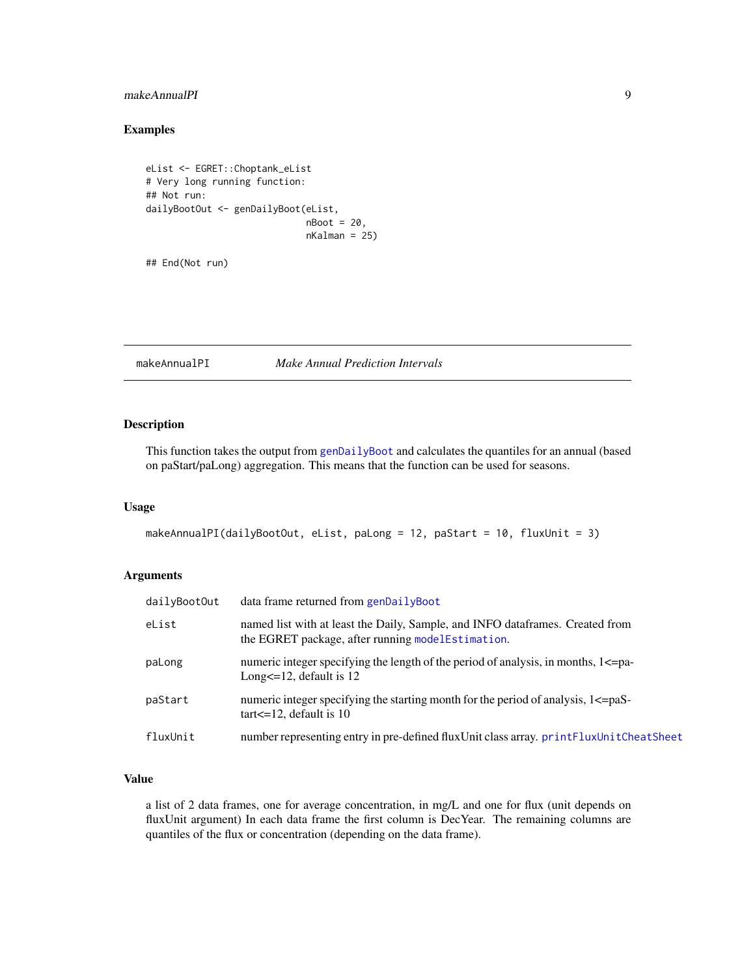#### <span id="page-8-0"></span>makeAnnualPI 9

#### Examples

```
eList <- EGRET::Choptank_eList
# Very long running function:
## Not run:
dailyBootOut <- genDailyBoot(eList,
                             nBoot = 20,
                             nKalman = 25)
```
## End(Not run)

#### makeAnnualPI *Make Annual Prediction Intervals*

#### Description

This function takes the output from [genDailyBoot](#page-6-1) and calculates the quantiles for an annual (based on paStart/paLong) aggregation. This means that the function can be used for seasons.

#### Usage

```
makeAnnualPI(dailyBootOut, eList, paLong = 12, paStart = 10, fluxUnit = 3)
```
#### Arguments

| dailyBootOut | data frame returned from genDailyBoot                                                                                              |
|--------------|------------------------------------------------------------------------------------------------------------------------------------|
| eList        | named list with at least the Daily, Sample, and INFO dataframes. Created from<br>the EGRET package, after running modelEstimation. |
| paLong       | numeric integer specifying the length of the period of analysis, in months, 1<= pa-<br>Long $\leq$ =12, default is 12              |
| paStart      | numeric integer specifying the starting month for the period of analysis, 1<= paS<br>$\text{tar} < = 12$ , default is 10           |
| fluxUnit     | number representing entry in pre-defined fluxUnit class array. printFluxUnitCheatSheet                                             |

#### Value

a list of 2 data frames, one for average concentration, in mg/L and one for flux (unit depends on fluxUnit argument) In each data frame the first column is DecYear. The remaining columns are quantiles of the flux or concentration (depending on the data frame).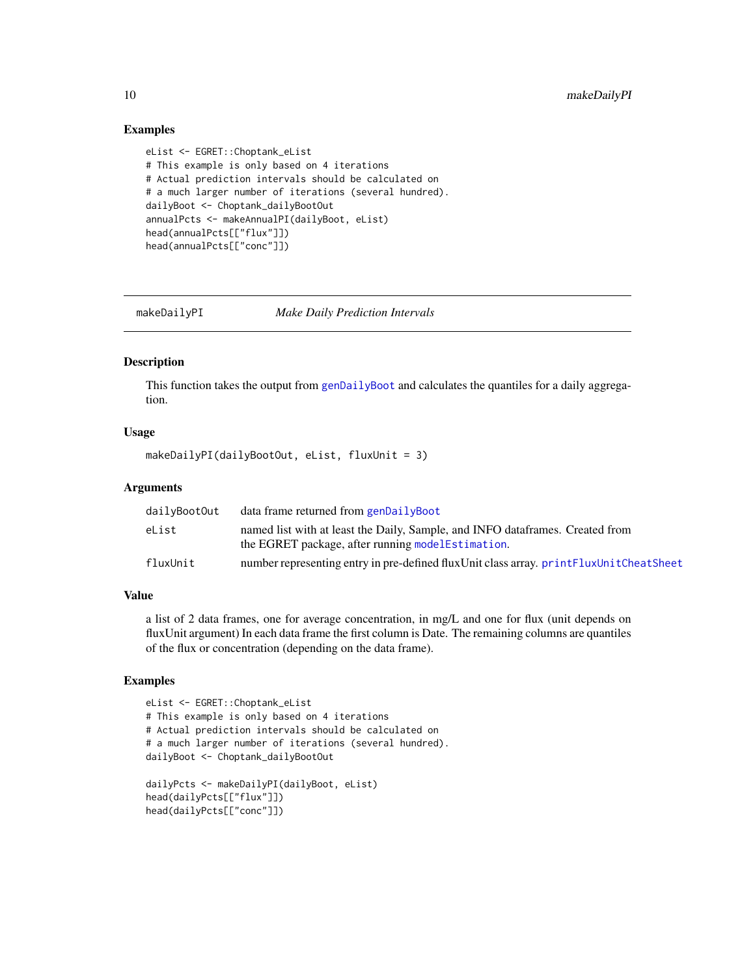#### <span id="page-9-0"></span>Examples

```
eList <- EGRET::Choptank_eList
# This example is only based on 4 iterations
# Actual prediction intervals should be calculated on
# a much larger number of iterations (several hundred).
dailyBoot <- Choptank_dailyBootOut
annualPcts <- makeAnnualPI(dailyBoot, eList)
head(annualPcts[["flux"]])
head(annualPcts[["conc"]])
```
makeDailyPI *Make Daily Prediction Intervals*

#### Description

This function takes the output from [genDailyBoot](#page-6-1) and calculates the quantiles for a daily aggregation.

#### Usage

makeDailyPI(dailyBootOut, eList, fluxUnit = 3)

#### Arguments

| dailyBootOut | data frame returned from genDailyBoot                                                                                               |
|--------------|-------------------------------------------------------------------------------------------------------------------------------------|
| eList        | named list with at least the Daily, Sample, and INFO data frames. Created from<br>the EGRET package, after running modelEstimation. |
| fluxUnit     | number representing entry in pre-defined fluxUnit class array. printFluxUnitCheatSheet                                              |

#### Value

a list of 2 data frames, one for average concentration, in mg/L and one for flux (unit depends on fluxUnit argument) In each data frame the first column is Date. The remaining columns are quantiles of the flux or concentration (depending on the data frame).

#### Examples

```
eList <- EGRET::Choptank_eList
# This example is only based on 4 iterations
# Actual prediction intervals should be calculated on
# a much larger number of iterations (several hundred).
dailyBoot <- Choptank_dailyBootOut
dailyPcts <- makeDailyPI(dailyBoot, eList)
head(dailyPcts[["flux"]])
```
head(dailyPcts[["conc"]])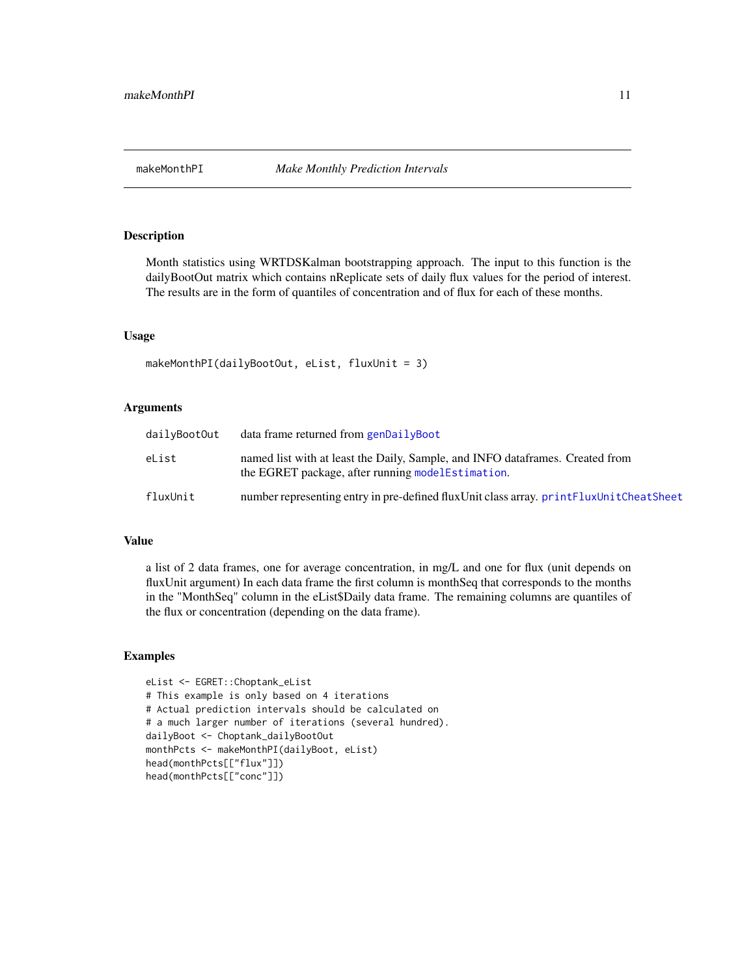<span id="page-10-0"></span>

#### Description

Month statistics using WRTDSKalman bootstrapping approach. The input to this function is the dailyBootOut matrix which contains nReplicate sets of daily flux values for the period of interest. The results are in the form of quantiles of concentration and of flux for each of these months.

#### Usage

```
makeMonthPI(dailyBootOut, eList, fluxUnit = 3)
```
#### Arguments

| dailyBootOut | data frame returned from genDailyBoot                                                                                                |
|--------------|--------------------------------------------------------------------------------------------------------------------------------------|
| eList        | named list with at least the Daily, Sample, and INFO data frames. Created from<br>the EGRET package, after running model Estimation. |
| fluxUnit     | number representing entry in pre-defined fluxUnit class array, printFluxUnitCheatSheet                                               |

#### Value

a list of 2 data frames, one for average concentration, in mg/L and one for flux (unit depends on fluxUnit argument) In each data frame the first column is monthSeq that corresponds to the months in the "MonthSeq" column in the eList\$Daily data frame. The remaining columns are quantiles of the flux or concentration (depending on the data frame).

#### Examples

```
eList <- EGRET::Choptank_eList
# This example is only based on 4 iterations
# Actual prediction intervals should be calculated on
# a much larger number of iterations (several hundred).
dailyBoot <- Choptank_dailyBootOut
monthPcts <- makeMonthPI(dailyBoot, eList)
head(monthPcts[["flux"]])
head(monthPcts[["conc"]])
```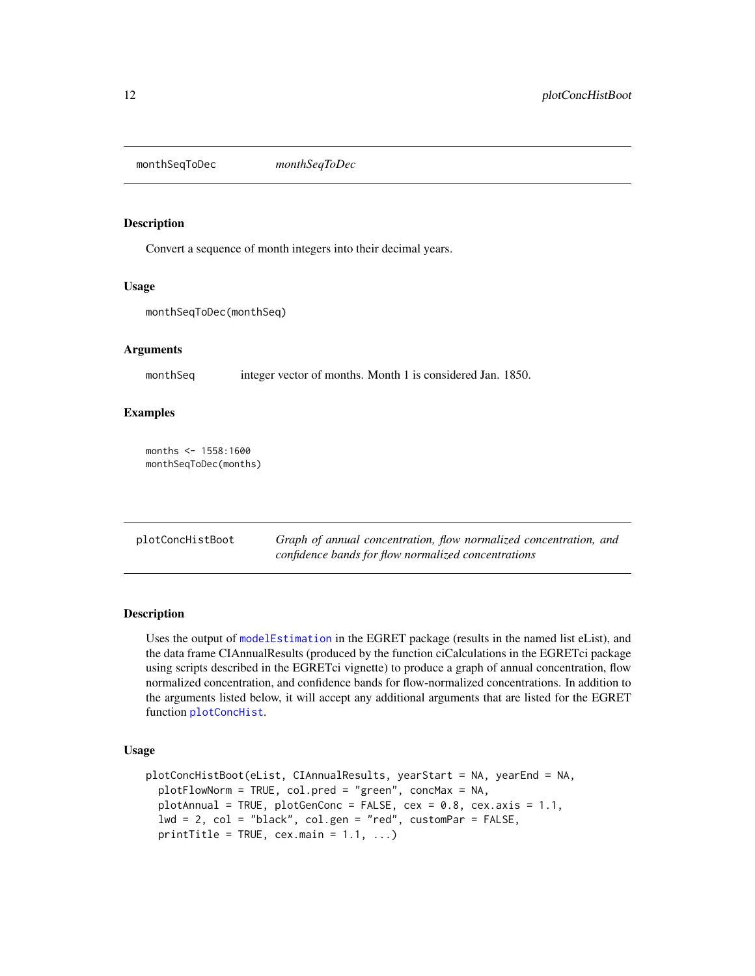<span id="page-11-0"></span>monthSeqToDec *monthSeqToDec*

#### Description

Convert a sequence of month integers into their decimal years.

#### Usage

monthSeqToDec(monthSeq)

#### Arguments

monthSeq integer vector of months. Month 1 is considered Jan. 1850.

#### Examples

months  $<-1558:1600$ monthSeqToDec(months)

| plotConcHistBoot | Graph of annual concentration, flow normalized concentration, and |
|------------------|-------------------------------------------------------------------|
|                  | confidence bands for flow normalized concentrations               |

#### Description

Uses the output of [modelEstimation](#page-0-0) in the EGRET package (results in the named list eList), and the data frame CIAnnualResults (produced by the function ciCalculations in the EGRETci package using scripts described in the EGRETci vignette) to produce a graph of annual concentration, flow normalized concentration, and confidence bands for flow-normalized concentrations. In addition to the arguments listed below, it will accept any additional arguments that are listed for the EGRET function [plotConcHist](#page-0-0).

#### Usage

```
plotConcHistBoot(eList, CIAnnualResults, yearStart = NA, yearEnd = NA,
 plotFlowNorm = TRUE, col.pred = "green", concMax = NA,
 plotAnnual = TRUE, plotGenConc = FALSE, cex = 0.8, cex.axis = 1.1,
  lwd = 2, col = "black", col.get = "red", customPar = FALSE,printTitle = TRUE, cex.mainloop = 1.1, ...
```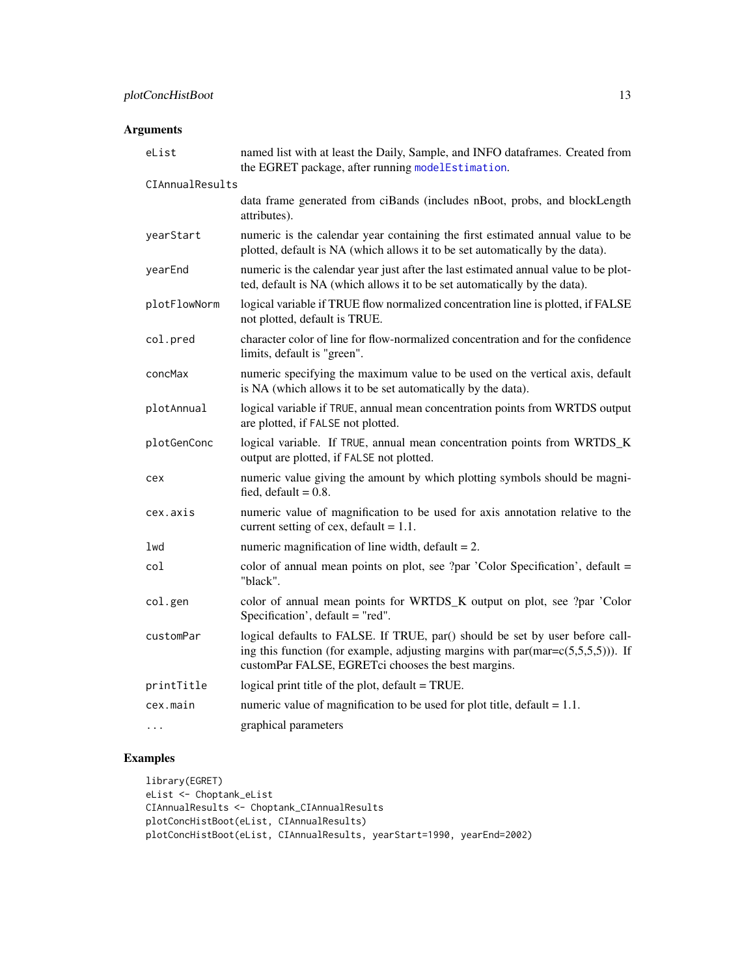#### Arguments

| eList           | named list with at least the Daily, Sample, and INFO dataframes. Created from<br>the EGRET package, after running modelEstimation.                                                                                                    |
|-----------------|---------------------------------------------------------------------------------------------------------------------------------------------------------------------------------------------------------------------------------------|
| CIAnnualResults |                                                                                                                                                                                                                                       |
|                 | data frame generated from ciBands (includes nBoot, probs, and blockLength<br>attributes).                                                                                                                                             |
| yearStart       | numeric is the calendar year containing the first estimated annual value to be<br>plotted, default is NA (which allows it to be set automatically by the data).                                                                       |
| yearEnd         | numeric is the calendar year just after the last estimated annual value to be plot-<br>ted, default is NA (which allows it to be set automatically by the data).                                                                      |
| plotFlowNorm    | logical variable if TRUE flow normalized concentration line is plotted, if FALSE<br>not plotted, default is TRUE.                                                                                                                     |
| col.pred        | character color of line for flow-normalized concentration and for the confidence<br>limits, default is "green".                                                                                                                       |
| concMax         | numeric specifying the maximum value to be used on the vertical axis, default<br>is NA (which allows it to be set automatically by the data).                                                                                         |
| plotAnnual      | logical variable if TRUE, annual mean concentration points from WRTDS output<br>are plotted, if FALSE not plotted.                                                                                                                    |
| plotGenConc     | logical variable. If TRUE, annual mean concentration points from WRTDS_K<br>output are plotted, if FALSE not plotted.                                                                                                                 |
| cex             | numeric value giving the amount by which plotting symbols should be magni-<br>fied, $default = 0.8$ .                                                                                                                                 |
| cex.axis        | numeric value of magnification to be used for axis annotation relative to the<br>current setting of cex, default = $1.1$ .                                                                                                            |
| lwd             | numeric magnification of line width, $default = 2$ .                                                                                                                                                                                  |
| col             | color of annual mean points on plot, see ?par 'Color Specification', default =<br>"black".                                                                                                                                            |
| col.gen         | color of annual mean points for WRTDS_K output on plot, see ?par 'Color<br>Specification', default = "red".                                                                                                                           |
| customPar       | logical defaults to FALSE. If TRUE, par() should be set by user before call-<br>ing this function (for example, adjusting margins with par $(\text{mar} = c(5, 5, 5, 5))$ ). If<br>customPar FALSE, EGRETci chooses the best margins. |
| printTitle      | logical print title of the plot, default = TRUE.                                                                                                                                                                                      |
| cex.main        | numeric value of magnification to be used for plot title, default $= 1.1$ .                                                                                                                                                           |
| .               | graphical parameters                                                                                                                                                                                                                  |

#### Examples

```
library(EGRET)
eList <- Choptank_eList
CIAnnualResults <- Choptank_CIAnnualResults
plotConcHistBoot(eList, CIAnnualResults)
plotConcHistBoot(eList, CIAnnualResults, yearStart=1990, yearEnd=2002)
```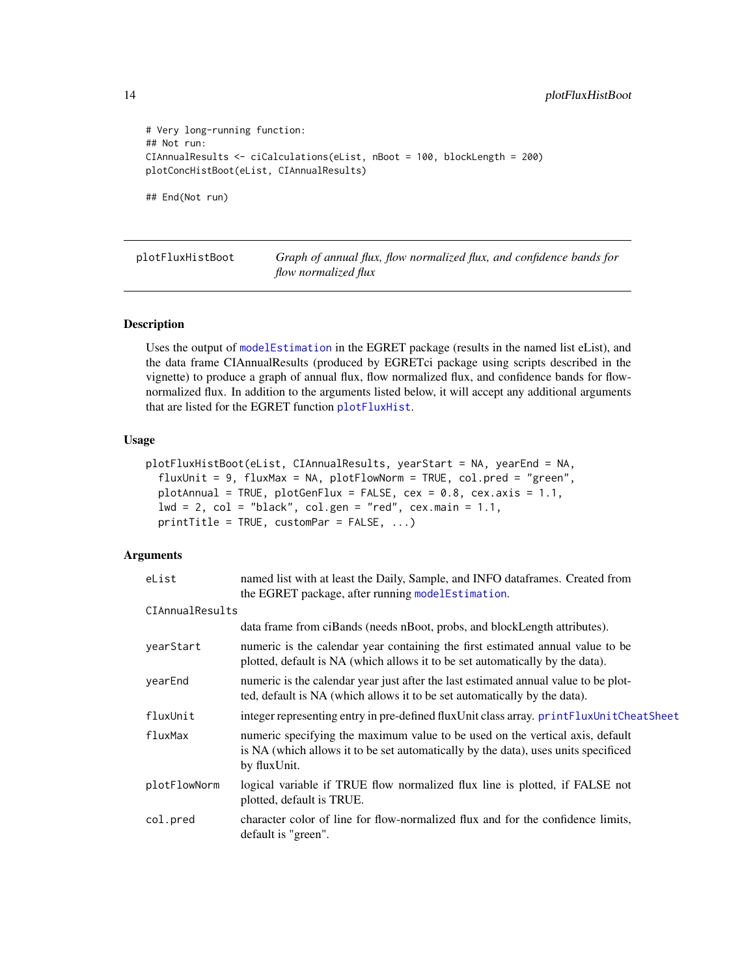```
# Very long-running function:
## Not run:
CIAnnualResults <- ciCalculations(eList, nBoot = 100, blockLength = 200)
plotConcHistBoot(eList, CIAnnualResults)
## End(Not run)
```
plotFluxHistBoot *Graph of annual flux, flow normalized flux, and confidence bands for flow normalized flux*

#### Description

Uses the output of [modelEstimation](#page-0-0) in the EGRET package (results in the named list eList), and the data frame CIAnnualResults (produced by EGRETci package using scripts described in the vignette) to produce a graph of annual flux, flow normalized flux, and confidence bands for flownormalized flux. In addition to the arguments listed below, it will accept any additional arguments that are listed for the EGRET function [plotFluxHist](#page-0-0).

#### Usage

```
plotFluxHistBoot(eList, CIAnnualResults, yearStart = NA, yearEnd = NA,
  fluxUnit = 9, fluxMax = NA, plotFlowNorm = TRUE, col.pred = "green",plotAnnual = TRUE, plotGenFlux = FALSE, cex = 0.8, cex.axis = 1.1,
  1wd = 2, col = "black", col.get = "red", cex.mainloop = 1.1,
  printTitle = TRUE, customPar = FALSE, ...)
```

| eList           | named list with at least the Daily, Sample, and INFO dataframes. Created from                                                                                                       |  |
|-----------------|-------------------------------------------------------------------------------------------------------------------------------------------------------------------------------------|--|
|                 | the EGRET package, after running modelEstimation.                                                                                                                                   |  |
| CIAnnualResults |                                                                                                                                                                                     |  |
|                 | data frame from ciBands (needs nBoot, probs, and blockLength attributes).                                                                                                           |  |
| vearStart       | numeric is the calendar year containing the first estimated annual value to be<br>plotted, default is NA (which allows it to be set automatically by the data).                     |  |
| yearEnd         | numeric is the calendar year just after the last estimated annual value to be plot-<br>ted, default is NA (which allows it to be set automatically by the data).                    |  |
| fluxUnit        | integer representing entry in pre-defined fluxUnit class array. printFluxUnitCheatSheet                                                                                             |  |
| fluxMax         | numeric specifying the maximum value to be used on the vertical axis, default<br>is NA (which allows it to be set automatically by the data), uses units specificed<br>by fluxUnit. |  |
| plotFlowNorm    | logical variable if TRUE flow normalized flux line is plotted, if FALSE not<br>plotted, default is TRUE.                                                                            |  |
| col.pred        | character color of line for flow-normalized flux and for the confidence limits,<br>default is "green".                                                                              |  |

<span id="page-13-0"></span>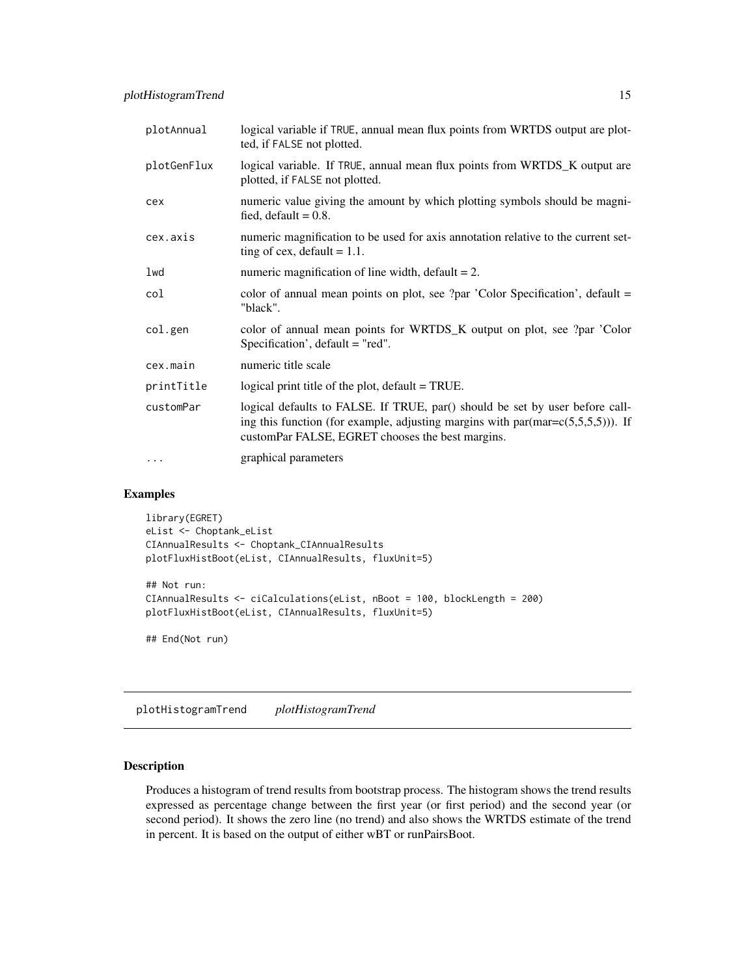<span id="page-14-0"></span>

| plotAnnual  | logical variable if TRUE, annual mean flux points from WRTDS output are plot-<br>ted, if FALSE not plotted.                                                                                                                 |  |
|-------------|-----------------------------------------------------------------------------------------------------------------------------------------------------------------------------------------------------------------------------|--|
| plotGenFlux | logical variable. If TRUE, annual mean flux points from WRTDS_K output are<br>plotted, if FALSE not plotted.                                                                                                                |  |
| cex         | numeric value giving the amount by which plotting symbols should be magni-<br>fied, default $= 0.8$ .                                                                                                                       |  |
| cex.axis    | numeric magnification to be used for axis annotation relative to the current set-<br>ting of cex, default $= 1.1$ .                                                                                                         |  |
| lwd         | numeric magnification of line width, $default = 2$ .                                                                                                                                                                        |  |
| col         | color of annual mean points on plot, see ?par 'Color Specification', default =<br>"black".                                                                                                                                  |  |
| col.gen     | color of annual mean points for WRTDS_K output on plot, see ?par 'Color<br>Specification', default = "red".                                                                                                                 |  |
| cex.main    | numeric title scale                                                                                                                                                                                                         |  |
| printTitle  | logical print title of the plot, default = TRUE.                                                                                                                                                                            |  |
| customPar   | logical defaults to FALSE. If TRUE, par() should be set by user before call-<br>ing this function (for example, adjusting margins with $par(max = c(5, 5, 5, 5))$ ). If<br>customPar FALSE, EGRET chooses the best margins. |  |
| $\ddotsc$   | graphical parameters                                                                                                                                                                                                        |  |

#### Examples

```
library(EGRET)
eList <- Choptank_eList
CIAnnualResults <- Choptank_CIAnnualResults
plotFluxHistBoot(eList, CIAnnualResults, fluxUnit=5)
## Not run:
CIAnnualResults <- ciCalculations(eList, nBoot = 100, blockLength = 200)
plotFluxHistBoot(eList, CIAnnualResults, fluxUnit=5)
```
## End(Not run)

plotHistogramTrend *plotHistogramTrend*

#### Description

Produces a histogram of trend results from bootstrap process. The histogram shows the trend results expressed as percentage change between the first year (or first period) and the second year (or second period). It shows the zero line (no trend) and also shows the WRTDS estimate of the trend in percent. It is based on the output of either wBT or runPairsBoot.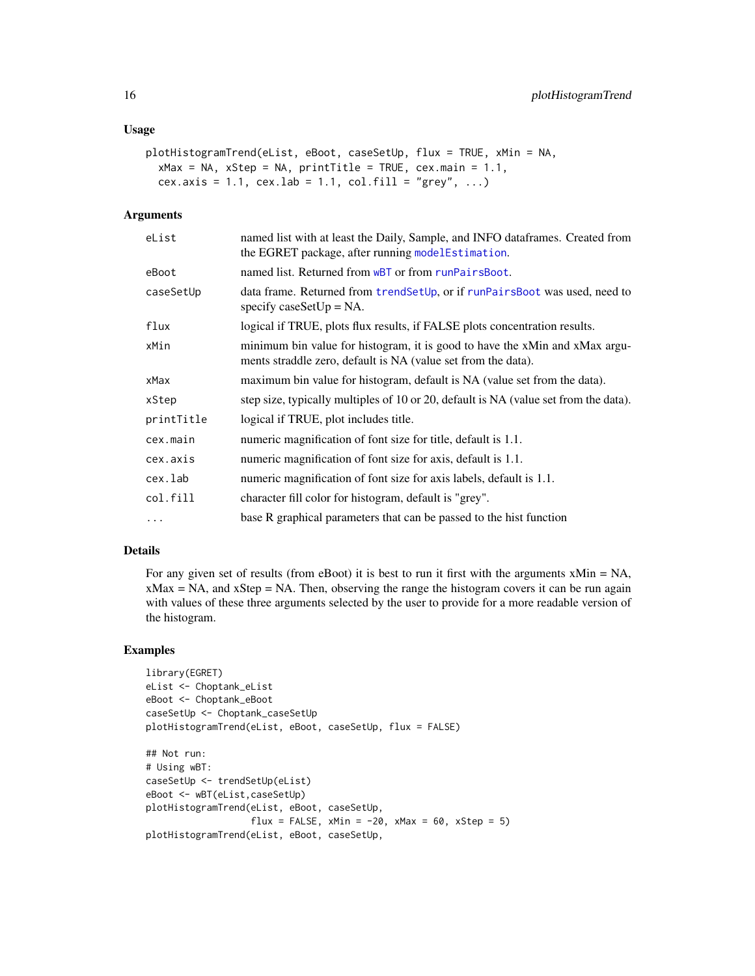#### <span id="page-15-0"></span>Usage

```
plotHistogramTrend(eList, eBoot, caseSetUp, flux = TRUE, xMin = NA,
  xMax = NA, xStep = NA, printTitle = TRUE, cex.main = 1.1,
  cex.axis = 1.1, cex.lab = 1.1, col.fill = "grey", ...)
```
#### Arguments

| eList      | named list with at least the Daily, Sample, and INFO data frames. Created from<br>the EGRET package, after running modelEstimation.          |  |
|------------|----------------------------------------------------------------------------------------------------------------------------------------------|--|
| eBoot      | named list. Returned from wBT or from runPairsBoot.                                                                                          |  |
| caseSetUp  | data frame. Returned from trendSetUp, or if runPairsBoot was used, need to<br>specify caseSetUp = $NA$ .                                     |  |
| flux       | logical if TRUE, plots flux results, if FALSE plots concentration results.                                                                   |  |
| xMin       | minimum bin value for histogram, it is good to have the xMin and xMax argu-<br>ments straddle zero, default is NA (value set from the data). |  |
| xMax       | maximum bin value for histogram, default is NA (value set from the data).                                                                    |  |
| xStep      | step size, typically multiples of 10 or 20, default is NA (value set from the data).                                                         |  |
| printTitle | logical if TRUE, plot includes title.                                                                                                        |  |
| cex.main   | numeric magnification of font size for title, default is 1.1.                                                                                |  |
| cex.axis   | numeric magnification of font size for axis, default is 1.1.                                                                                 |  |
| cex.lab    | numeric magnification of font size for axis labels, default is 1.1.                                                                          |  |
| col.fill   | character fill color for histogram, default is "grey".                                                                                       |  |
| $\ddots$   | base R graphical parameters that can be passed to the hist function                                                                          |  |
|            |                                                                                                                                              |  |

#### Details

For any given set of results (from eBoot) it is best to run it first with the arguments xMin = NA,  $x$ Max = NA, and  $x$ Step = NA. Then, observing the range the histogram covers it can be run again with values of these three arguments selected by the user to provide for a more readable version of the histogram.

#### Examples

```
library(EGRET)
eList <- Choptank_eList
eBoot <- Choptank_eBoot
caseSetUp <- Choptank_caseSetUp
plotHistogramTrend(eList, eBoot, caseSetUp, flux = FALSE)
## Not run:
# Using wBT:
caseSetUp <- trendSetUp(eList)
eBoot <- wBT(eList,caseSetUp)
plotHistogramTrend(eList, eBoot, caseSetUp,
                   flux = FALSE, xMin = -20, xMax = 60, xStep = 5)
plotHistogramTrend(eList, eBoot, caseSetUp,
```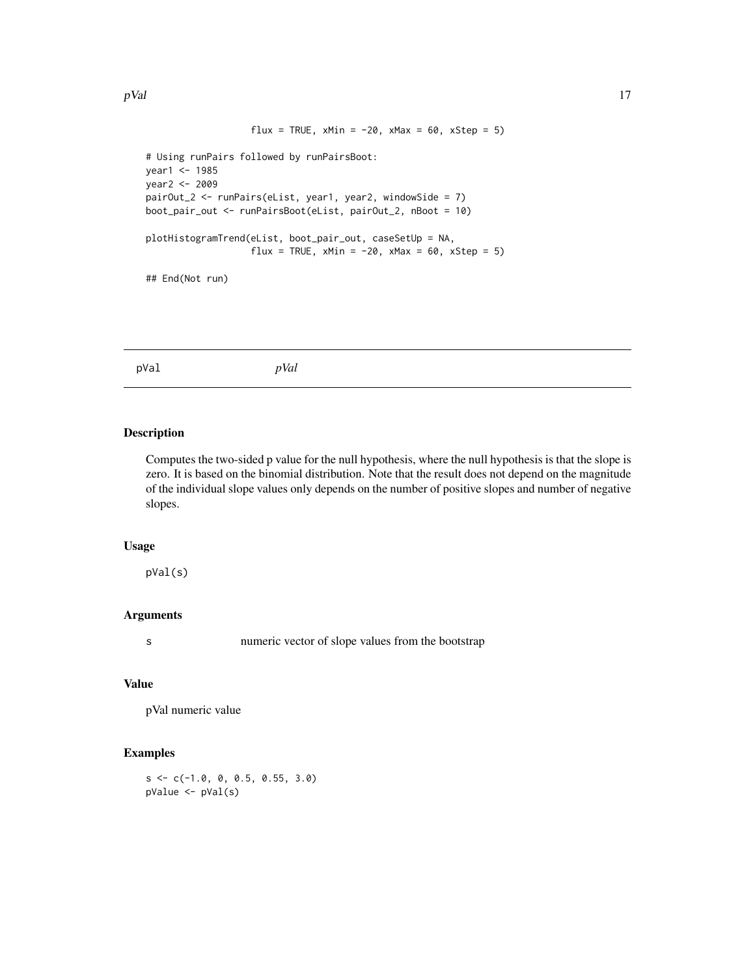```
flux = TRUE, xMin = -20, xMax = 60, xStep = 5)
# Using runPairs followed by runPairsBoot:
year1 <- 1985
year2 <- 2009
pairOut_2 <- runPairs(eList, year1, year2, windowSide = 7)
boot_pair_out <- runPairsBoot(eList, pairOut_2, nBoot = 10)
plotHistogramTrend(eList, boot_pair_out, caseSetUp = NA,
                   flux = TRUE, xMin = -20, xMax = 60, xStep = 5)
## End(Not run)
```
pVal *pVal*

#### Description

Computes the two-sided p value for the null hypothesis, where the null hypothesis is that the slope is zero. It is based on the binomial distribution. Note that the result does not depend on the magnitude of the individual slope values only depends on the number of positive slopes and number of negative slopes.

#### Usage

pVal(s)

#### Arguments

s numeric vector of slope values from the bootstrap

#### Value

pVal numeric value

#### Examples

s <- c(-1.0, 0, 0.5, 0.55, 3.0) pValue <- pVal(s)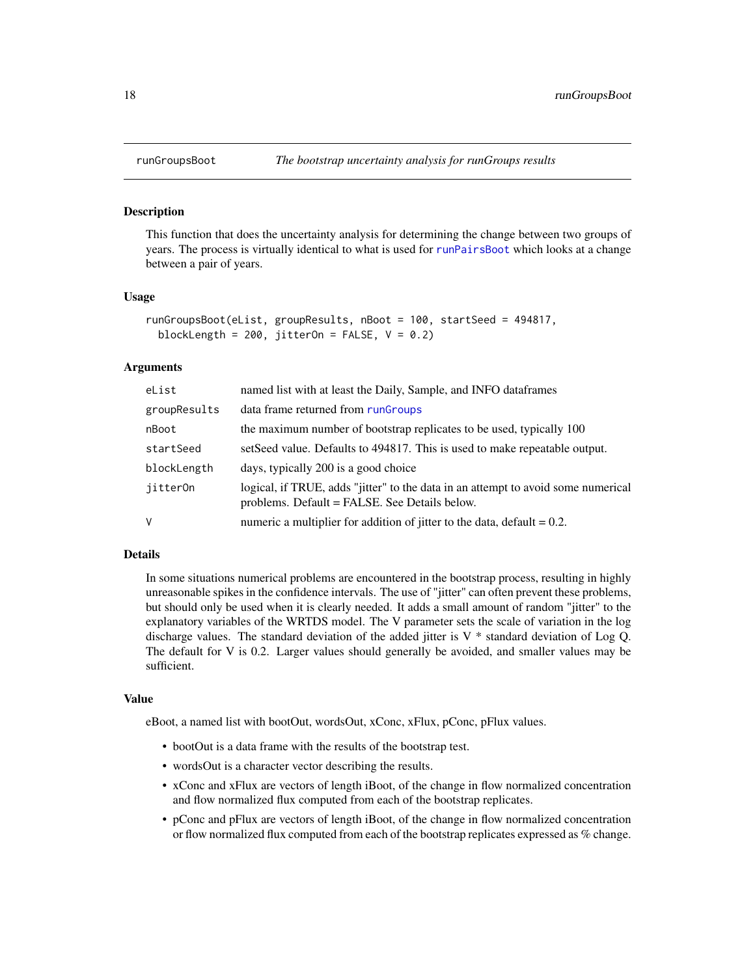#### **Description**

This function that does the uncertainty analysis for determining the change between two groups of years. The process is virtually identical to what is used for [runPairsBoot](#page-18-1) which looks at a change between a pair of years.

#### Usage

```
runGroupsBoot(eList, groupResults, nBoot = 100, startSeed = 494817,
 blockLength = 200, jitterOn = FALSE, V = 0.2)
```
#### Arguments

| eList        | named list with at least the Daily, Sample, and INFO dataframes                                                                    |
|--------------|------------------------------------------------------------------------------------------------------------------------------------|
| groupResults | data frame returned from rungroups                                                                                                 |
| nBoot        | the maximum number of bootstrap replicates to be used, typically 100                                                               |
| startSeed    | setSeed value. Defaults to 494817. This is used to make repeatable output.                                                         |
| blockLength  | days, typically 200 is a good choice                                                                                               |
| jitter0n     | logical, if TRUE, adds "jitter" to the data in an attempt to avoid some numerical<br>problems. Default = FALSE. See Details below. |
| V            | numeric a multiplier for addition of jitter to the data, default $= 0.2$ .                                                         |
|              |                                                                                                                                    |

#### Details

In some situations numerical problems are encountered in the bootstrap process, resulting in highly unreasonable spikes in the confidence intervals. The use of "jitter" can often prevent these problems, but should only be used when it is clearly needed. It adds a small amount of random "jitter" to the explanatory variables of the WRTDS model. The V parameter sets the scale of variation in the log discharge values. The standard deviation of the added jitter is  $V^*$  standard deviation of Log Q. The default for V is 0.2. Larger values should generally be avoided, and smaller values may be sufficient.

#### Value

eBoot, a named list with bootOut, wordsOut, xConc, xFlux, pConc, pFlux values.

- bootOut is a data frame with the results of the bootstrap test.
- wordsOut is a character vector describing the results.
- xConc and xFlux are vectors of length iBoot, of the change in flow normalized concentration and flow normalized flux computed from each of the bootstrap replicates.
- pConc and pFlux are vectors of length iBoot, of the change in flow normalized concentration or flow normalized flux computed from each of the bootstrap replicates expressed as % change.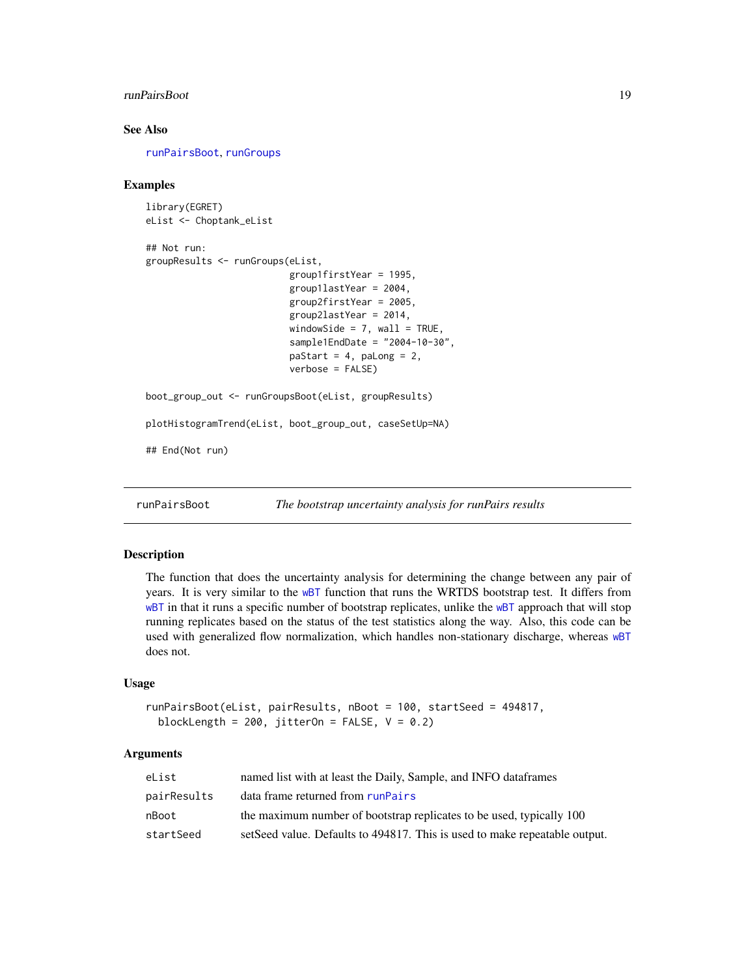#### <span id="page-18-0"></span>runPairsBoot 2008 and 2008 and 2008 and 2008 and 2008 and 2008 and 2008 and 2008 and 2008 and 2008 and 2008 and 2008 and 2008 and 2008 and 2008 and 2008 and 2008 and 2008 and 2008 and 2008 and 2008 and 2008 and 2008 and 20

#### See Also

[runPairsBoot](#page-18-1), [runGroups](#page-0-0)

#### Examples

```
library(EGRET)
eList <- Choptank_eList
## Not run:
groupResults <- runGroups(eList,
                          group1firstYear = 1995,
                          group1lastYear = 2004,
                          group2firstYear = 2005,
                          group2lastYear = 2014,
                          windowSide = 7, wall = TRUE,
                          sample1EndDate = "2004-10-30",
                          paStart = 4, paLong = 2,
                          verbose = FALSE)
boot_group_out <- runGroupsBoot(eList, groupResults)
plotHistogramTrend(eList, boot_group_out, caseSetUp=NA)
## End(Not run)
```
<span id="page-18-1"></span>runPairsBoot *The bootstrap uncertainty analysis for runPairs results*

#### Description

The function that does the uncertainty analysis for determining the change between any pair of years. It is very similar to the [wBT](#page-23-1) function that runs the WRTDS bootstrap test. It differs from [wBT](#page-23-1) in that it runs a specific number of bootstrap replicates, unlike the wBT approach that will stop running replicates based on the status of the test statistics along the way. Also, this code can be used with generalized flow normalization, which handles non-stationary discharge, whereas [wBT](#page-23-1) does not.

#### Usage

```
runPairsBoot(eList, pairResults, nBoot = 100, startSeed = 494817,
 blockLength = 200, jitterOn = FALSE, V = 0.2)
```

| eList       | named list with at least the Daily, Sample, and INFO dataframes            |
|-------------|----------------------------------------------------------------------------|
| pairResults | data frame returned from runPairs                                          |
| nBoot       | the maximum number of bootstrap replicates to be used, typically 100       |
| startSeed   | setSeed value. Defaults to 494817. This is used to make repeatable output. |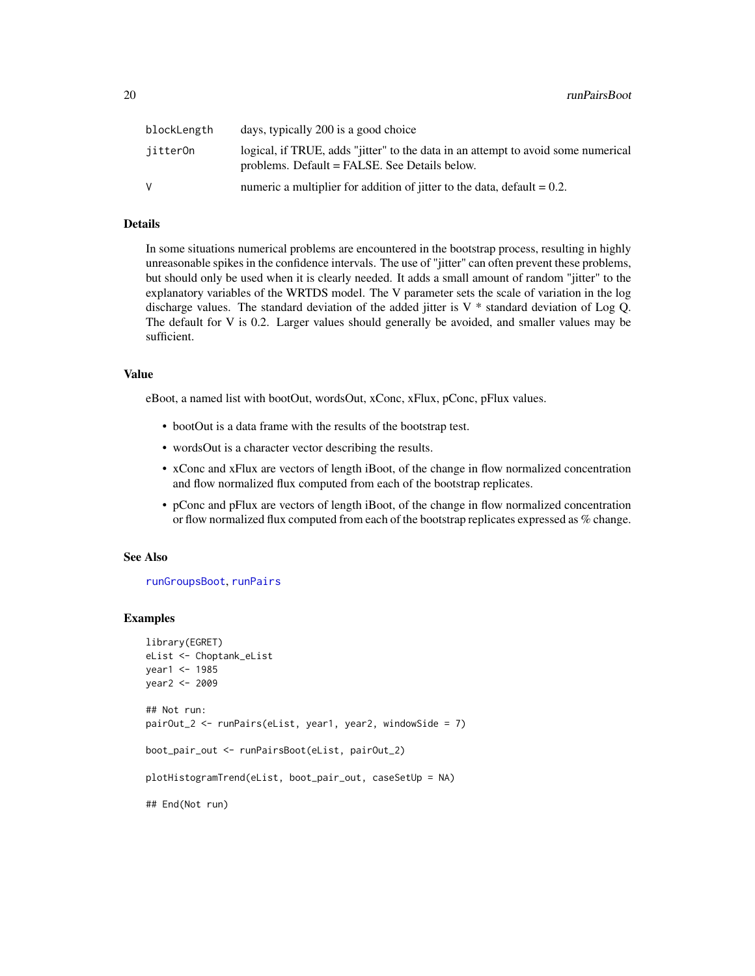<span id="page-19-0"></span>

| blockLength | days, typically 200 is a good choice                                                                                               |
|-------------|------------------------------------------------------------------------------------------------------------------------------------|
| jitter0n    | logical, if TRUE, adds "jitter" to the data in an attempt to avoid some numerical<br>problems. Default = FALSE. See Details below. |
| V           | numeric a multiplier for addition of jitter to the data, default $= 0.2$ .                                                         |

#### Details

In some situations numerical problems are encountered in the bootstrap process, resulting in highly unreasonable spikes in the confidence intervals. The use of "jitter" can often prevent these problems, but should only be used when it is clearly needed. It adds a small amount of random "jitter" to the explanatory variables of the WRTDS model. The V parameter sets the scale of variation in the log discharge values. The standard deviation of the added jitter is  $V^*$  standard deviation of Log Q. The default for V is 0.2. Larger values should generally be avoided, and smaller values may be sufficient.

#### Value

eBoot, a named list with bootOut, wordsOut, xConc, xFlux, pConc, pFlux values.

- bootOut is a data frame with the results of the bootstrap test.
- wordsOut is a character vector describing the results.
- xConc and xFlux are vectors of length iBoot, of the change in flow normalized concentration and flow normalized flux computed from each of the bootstrap replicates.
- pConc and pFlux are vectors of length iBoot, of the change in flow normalized concentration or flow normalized flux computed from each of the bootstrap replicates expressed as % change.

#### See Also

[runGroupsBoot](#page-17-1), [runPairs](#page-0-0)

#### Examples

```
library(EGRET)
eList <- Choptank_eList
year1 <- 1985
year2 <- 2009
## Not run:
pairOut_2 <- runPairs(eList, year1, year2, windowSide = 7)
boot_pair_out <- runPairsBoot(eList, pairOut_2)
plotHistogramTrend(eList, boot_pair_out, caseSetUp = NA)
## End(Not run)
```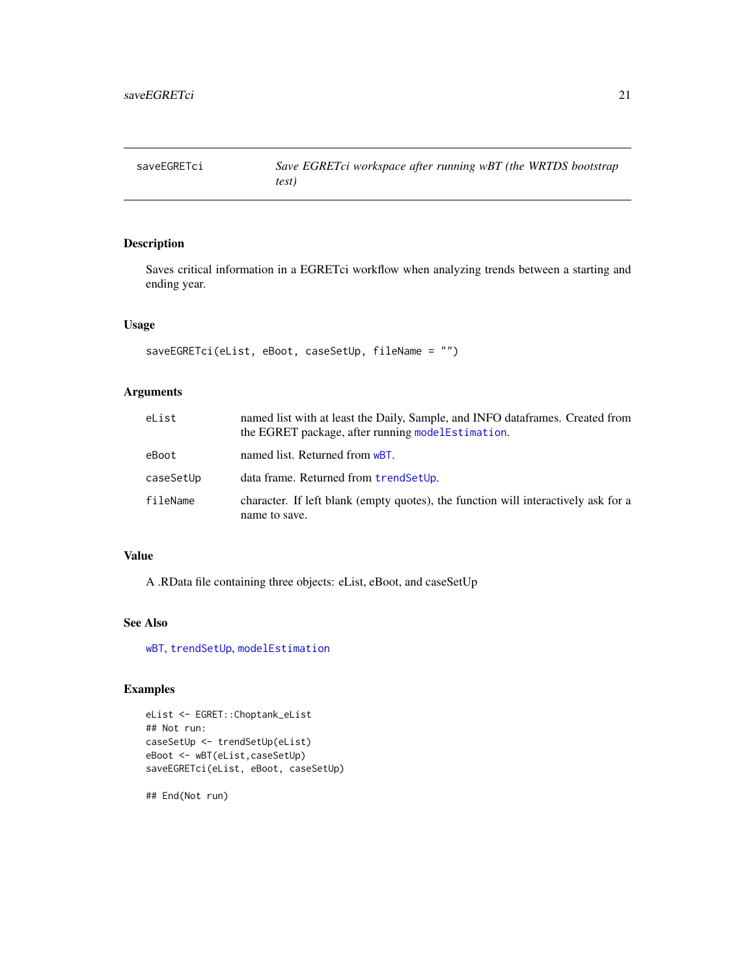<span id="page-20-0"></span>

### Description

Saves critical information in a EGRETci workflow when analyzing trends between a starting and ending year.

#### Usage

saveEGRETci(eList, eBoot, caseSetUp, fileName = "")

#### Arguments

| eList     | named list with at least the Daily, Sample, and INFO data frames. Created from<br>the EGRET package, after running model Estimation. |
|-----------|--------------------------------------------------------------------------------------------------------------------------------------|
| eBoot     | named list. Returned from wBT.                                                                                                       |
| caseSetUp | data frame. Returned from trendSetUp.                                                                                                |
| fileName  | character. If left blank (empty quotes), the function will interactively ask for a<br>name to save.                                  |

#### Value

A .RData file containing three objects: eList, eBoot, and caseSetUp

#### See Also

[wBT](#page-23-1), [trendSetUp](#page-22-1), [modelEstimation](#page-0-0)

#### Examples

```
eList <- EGRET::Choptank_eList
## Not run:
caseSetUp <- trendSetUp(eList)
eBoot <- wBT(eList,caseSetUp)
saveEGRETci(eList, eBoot, caseSetUp)
```
## End(Not run)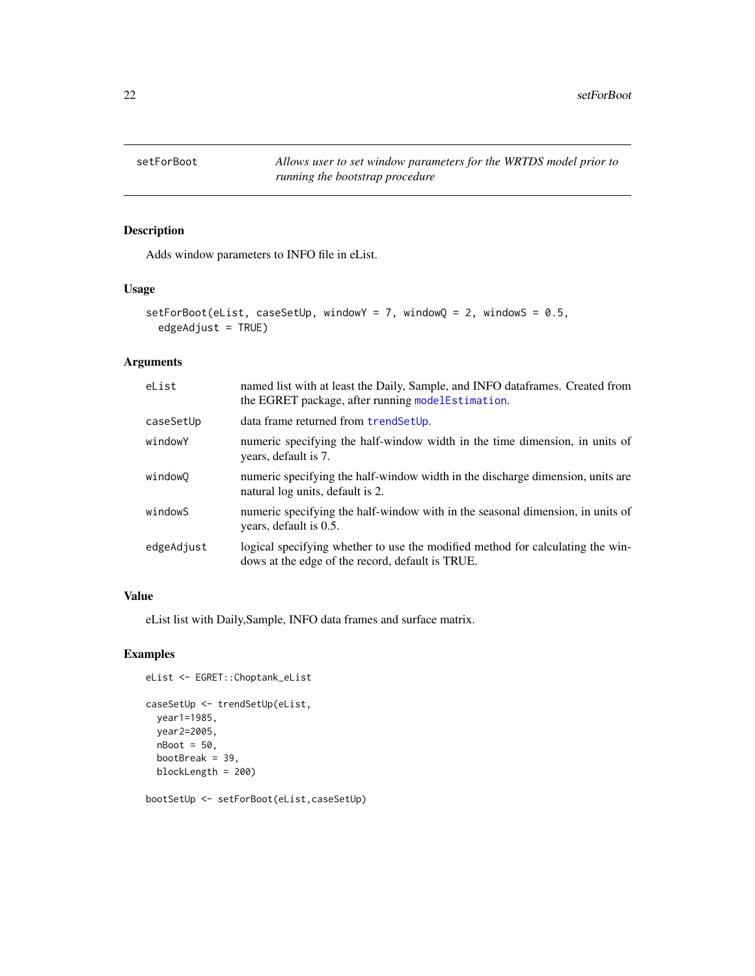<span id="page-21-1"></span><span id="page-21-0"></span>setForBoot *Allows user to set window parameters for the WRTDS model prior to running the bootstrap procedure*

#### Description

Adds window parameters to INFO file in eList.

#### Usage

```
setForBoot(eList, caseSetUp, windowY = 7, windowQ = 2, windowS = 0.5,
 edgeAdjust = TRUE)
```
#### Arguments

| eList<br>named list with at least the Daily, Sample, and INFO dataframes. Created from<br>the EGRET package, after running model Estimation.     |                                                                                                                    |
|--------------------------------------------------------------------------------------------------------------------------------------------------|--------------------------------------------------------------------------------------------------------------------|
| caseSetUp                                                                                                                                        | data frame returned from trendSetUp.                                                                               |
| windowY<br>numeric specifying the half-window width in the time dimension, in units of<br>years, default is 7.                                   |                                                                                                                    |
| windowQ                                                                                                                                          | numeric specifying the half-window width in the discharge dimension, units are<br>natural log units, default is 2. |
| windowS<br>numeric specifying the half-window with in the seasonal dimension, in units of<br>years, default is 0.5.                              |                                                                                                                    |
| edgeAdjust<br>logical specifying whether to use the modified method for calculating the win-<br>dows at the edge of the record, default is TRUE. |                                                                                                                    |

#### Value

eList list with Daily,Sample, INFO data frames and surface matrix.

#### Examples

```
eList <- EGRET::Choptank_eList
```

```
caseSetUp <- trendSetUp(eList,
 year1=1985,
 year2=2005,
  nBoot = 50,
  bootBreak = 39,
  blockLength = 200)
```
bootSetUp <- setForBoot(eList,caseSetUp)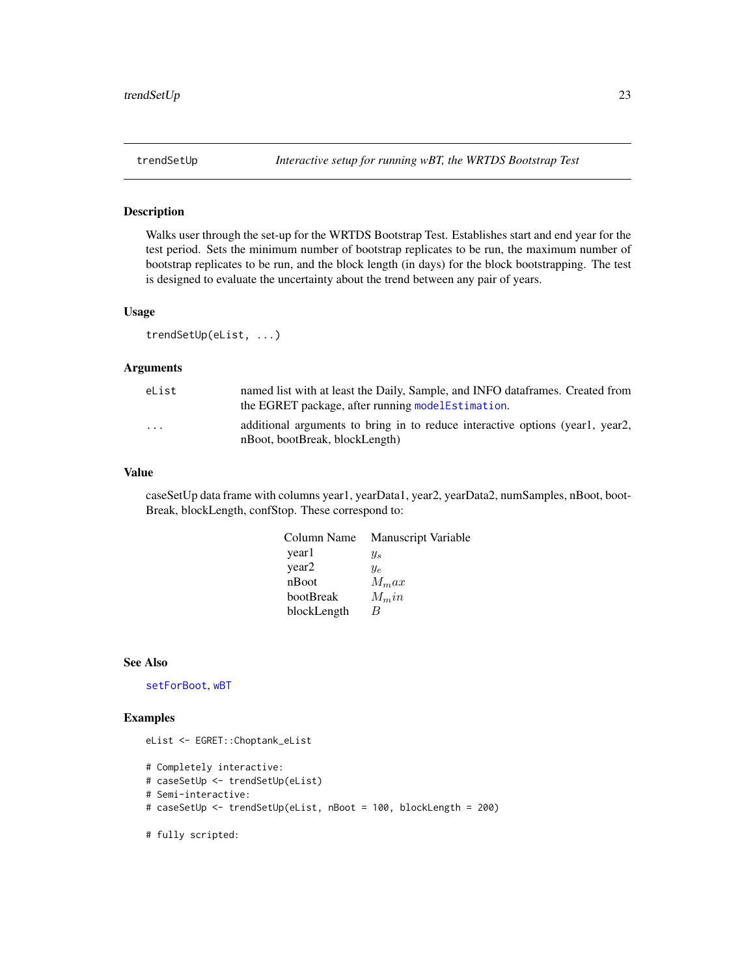<span id="page-22-1"></span><span id="page-22-0"></span>

#### Description

Walks user through the set-up for the WRTDS Bootstrap Test. Establishes start and end year for the test period. Sets the minimum number of bootstrap replicates to be run, the maximum number of bootstrap replicates to be run, and the block length (in days) for the block bootstrapping. The test is designed to evaluate the uncertainty about the trend between any pair of years.

#### Usage

trendSetUp(eList, ...)

#### Arguments

| eList                   | named list with at least the Daily, Sample, and INFO data frames. Created from<br>the EGRET package, after running model Estimation. |
|-------------------------|--------------------------------------------------------------------------------------------------------------------------------------|
| $\cdot$ $\cdot$ $\cdot$ | additional arguments to bring in to reduce interactive options (year1, year2,<br>nBoot, bootBreak, blockLength)                      |

#### Value

caseSetUp data frame with columns year1, yearData1, year2, yearData2, numSamples, nBoot, boot-Break, blockLength, confStop. These correspond to:

| Column Name | <b>Manuscript Variable</b> |
|-------------|----------------------------|
| yearl       | $y_s$                      |
| year2       | $y_e$                      |
| nBoot       | $M_{m}ax$                  |
| bootBreak   | $M_{\rm m}$ in             |
| blockLength | B                          |
|             |                            |

#### See Also

[setForBoot](#page-21-1), [wBT](#page-23-1)

#### Examples

```
eList <- EGRET::Choptank_eList
```

```
# Completely interactive:
# caseSetUp <- trendSetUp(eList)
```

```
# Semi-interactive:
```
- # caseSetUp <- trendSetUp(eList, nBoot = 100, blockLength = 200)
- # fully scripted: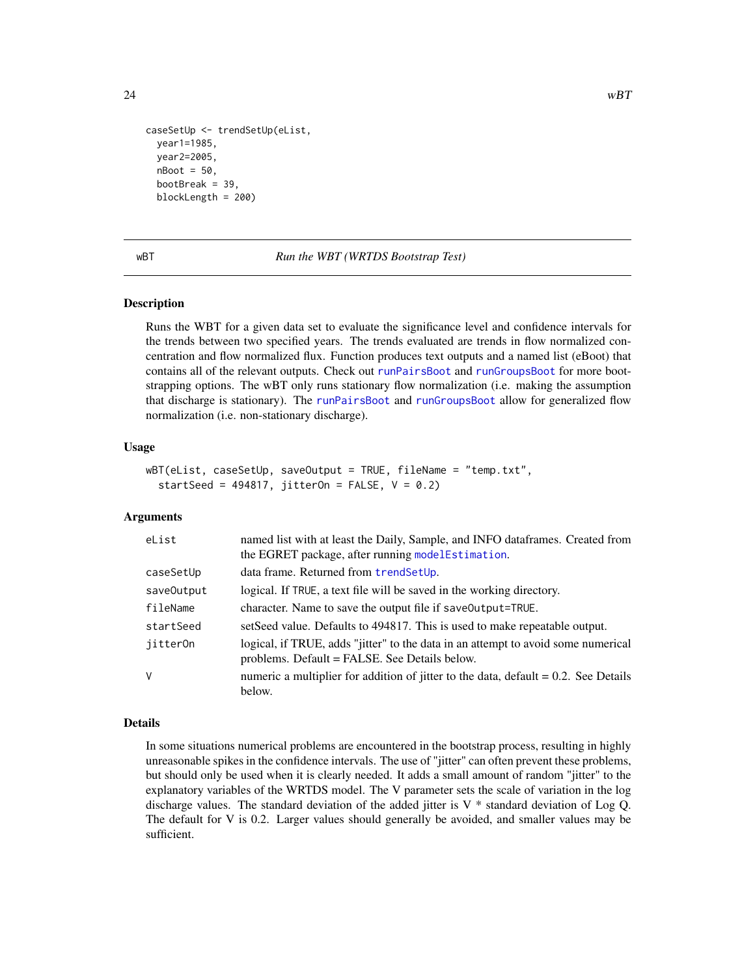```
caseSetUp <- trendSetUp(eList,
 year1=1985,
 year2=2005,
 nBoot = 50,
 bootBreak = 39,
 blockLength = 200)
```
<span id="page-23-1"></span>

wBT *Run the WBT (WRTDS Bootstrap Test)*

#### Description

Runs the WBT for a given data set to evaluate the significance level and confidence intervals for the trends between two specified years. The trends evaluated are trends in flow normalized concentration and flow normalized flux. Function produces text outputs and a named list (eBoot) that contains all of the relevant outputs. Check out [runPairsBoot](#page-18-1) and [runGroupsBoot](#page-17-1) for more bootstrapping options. The wBT only runs stationary flow normalization (i.e. making the assumption that discharge is stationary). The [runPairsBoot](#page-18-1) and [runGroupsBoot](#page-17-1) allow for generalized flow normalization (i.e. non-stationary discharge).

#### Usage

```
wBT(eList, caseSetUp, saveOutput = TRUE, fileName = "temp.txt",
  startSeed = 494817, jitterOn = FALSE, V = 0.2)
```
#### Arguments

| eList      | named list with at least the Daily, Sample, and INFO dataframes. Created from<br>the EGRET package, after running modelEstimation. |
|------------|------------------------------------------------------------------------------------------------------------------------------------|
| caseSetUp  | data frame. Returned from trendSetUp.                                                                                              |
| save0utput | logical. If TRUE, a text file will be saved in the working directory.                                                              |
| fileName   | character. Name to save the output file if save Output=TRUE.                                                                       |
| startSeed  | setSeed value. Defaults to 494817. This is used to make repeatable output.                                                         |
| jitter0n   | logical, if TRUE, adds "jitter" to the data in an attempt to avoid some numerical<br>problems. Default = FALSE. See Details below. |
| V          | numeric a multiplier for addition of jitter to the data, default $= 0.2$ . See Details<br>below.                                   |

#### Details

In some situations numerical problems are encountered in the bootstrap process, resulting in highly unreasonable spikes in the confidence intervals. The use of "jitter" can often prevent these problems, but should only be used when it is clearly needed. It adds a small amount of random "jitter" to the explanatory variables of the WRTDS model. The V parameter sets the scale of variation in the log discharge values. The standard deviation of the added jitter is V \* standard deviation of Log Q. The default for V is 0.2. Larger values should generally be avoided, and smaller values may be sufficient.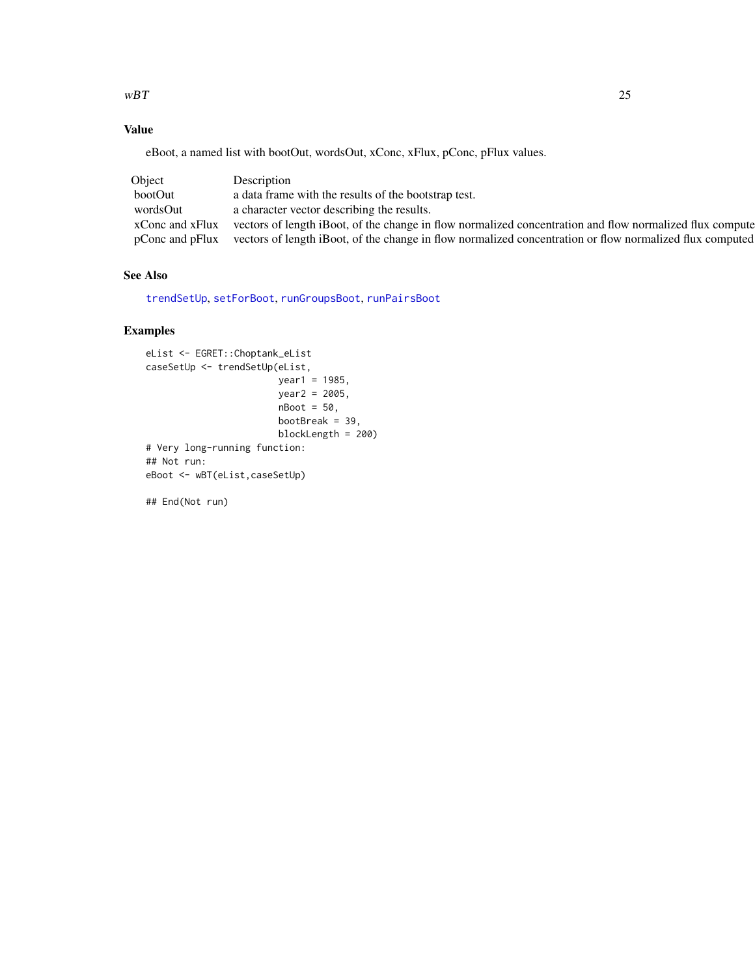<span id="page-24-0"></span> $wBT$  25

### Value

eBoot, a named list with bootOut, wordsOut, xConc, xFlux, pConc, pFlux values.

| Object          | Description                                                                                              |
|-----------------|----------------------------------------------------------------------------------------------------------|
| bootOut         | a data frame with the results of the bootstrap test.                                                     |
| wordsOut        | a character vector describing the results.                                                               |
| xConc and xFlux | vectors of length iBoot, of the change in flow normalized concentration and flow normalized flux compute |
| pConc and pFlux | vectors of length iBoot, of the change in flow normalized concentration or flow normalized flux computed |

### See Also

[trendSetUp](#page-22-1), [setForBoot](#page-21-1), [runGroupsBoot](#page-17-1), [runPairsBoot](#page-18-1)

#### Examples

```
eList <- EGRET::Choptank_eList
caseSetUp <- trendSetUp(eList,
                        year1 = 1985,
                        year2 = 2005,
                        nBoot = 50,
                        bootBreak = 39,
                        blockLength = 200)
# Very long-running function:
## Not run:
eBoot <- wBT(eList,caseSetUp)
```
## End(Not run)